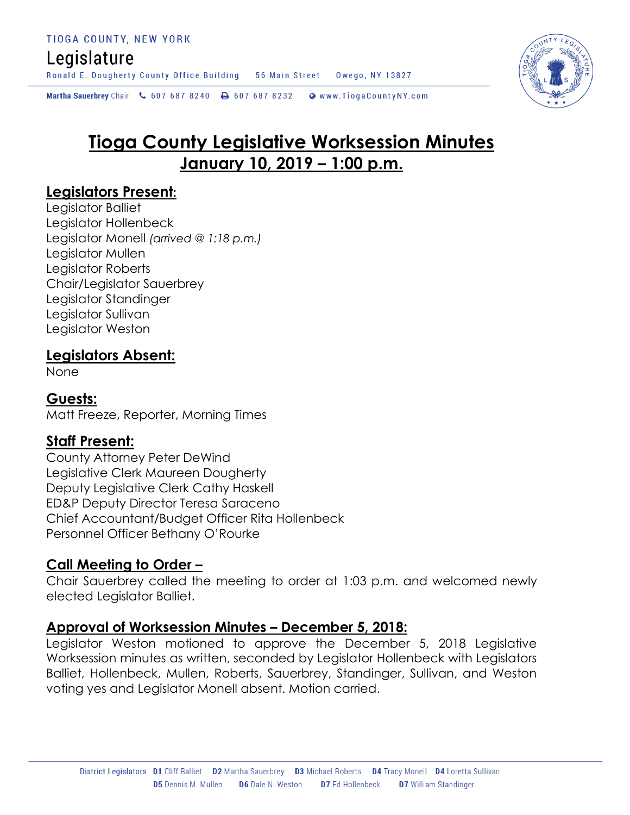## Legislature

Ronald E. Dougherty County Office Building 56 Main Street Owego, NY 13827

Martha Sauerbrey Chair & 607 687 8240 <a>B<br/>607 687 8232 <a>B</a>Www.TiogaCountyNY.com

# **Tioga County Legislative Worksession Minutes January 10, 2019 – 1:00 p.m.**

### **Legislators Present:**

Legislator Balliet Legislator Hollenbeck Legislator Monell *(arrived @ 1:18 p.m.)* Legislator Mullen Legislator Roberts Chair/Legislator Sauerbrey Legislator Standinger Legislator Sullivan Legislator Weston

### **Legislators Absent:**

None

#### **Guests:**

Matt Freeze, Reporter, Morning Times

#### **Staff Present:**

County Attorney Peter DeWind Legislative Clerk Maureen Dougherty Deputy Legislative Clerk Cathy Haskell ED&P Deputy Director Teresa Saraceno Chief Accountant/Budget Officer Rita Hollenbeck Personnel Officer Bethany O'Rourke

### **Call Meeting to Order –**

Chair Sauerbrey called the meeting to order at 1:03 p.m. and welcomed newly elected Legislator Balliet.

#### **Approval of Worksession Minutes – December 5, 2018:**

Legislator Weston motioned to approve the December 5, 2018 Legislative Worksession minutes as written, seconded by Legislator Hollenbeck with Legislators Balliet, Hollenbeck, Mullen, Roberts, Sauerbrey, Standinger, Sullivan, and Weston voting yes and Legislator Monell absent. Motion carried.

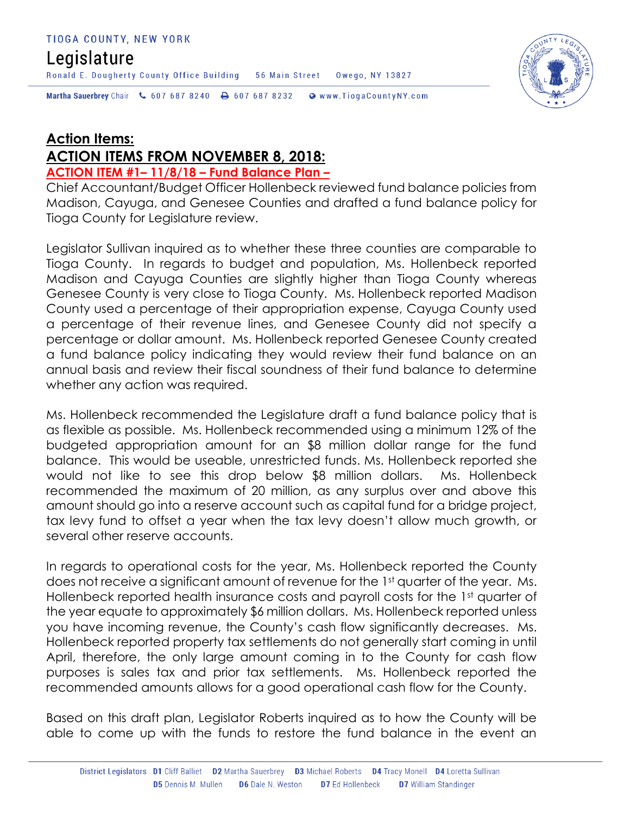### Legislature

Martha Sauerbrey Chair & 607 687 8240 <a>B<br/>607 687 8232 <a>B</a>Www.TiogaCountyNY.com

Ronald E. Dougherty County Office Building 56 Main Street Owego, NY 13827

### **Action Items: ACTION ITEMS FROM NOVEMBER 8, 2018:**

**ACTION ITEM #1– 11/8/18 – Fund Balance Plan –**

Chief Accountant/Budget Officer Hollenbeck reviewed fund balance policies from Madison, Cayuga, and Genesee Counties and drafted a fund balance policy for Tioga County for Legislature review.

Legislator Sullivan inquired as to whether these three counties are comparable to Tioga County. In regards to budget and population, Ms. Hollenbeck reported Madison and Cayuga Counties are slightly higher than Tioga County whereas Genesee County is very close to Tioga County. Ms. Hollenbeck reported Madison County used a percentage of their appropriation expense, Cayuga County used a percentage of their revenue lines, and Genesee County did not specify a percentage or dollar amount. Ms. Hollenbeck reported Genesee County created a fund balance policy indicating they would review their fund balance on an annual basis and review their fiscal soundness of their fund balance to determine whether any action was required.

Ms. Hollenbeck recommended the Legislature draft a fund balance policy that is as flexible as possible. Ms. Hollenbeck recommended using a minimum 12% of the budgeted appropriation amount for an \$8 million dollar range for the fund balance. This would be useable, unrestricted funds. Ms. Hollenbeck reported she would not like to see this drop below \$8 million dollars. Ms. Hollenbeck recommended the maximum of 20 million, as any surplus over and above this amount should go into a reserve account such as capital fund for a bridge project, tax levy fund to offset a year when the tax levy doesn't allow much growth, or several other reserve accounts.

In regards to operational costs for the year, Ms. Hollenbeck reported the County does not receive a significant amount of revenue for the 1st quarter of the year. Ms. Hollenbeck reported health insurance costs and payroll costs for the 1st quarter of the year equate to approximately \$6 million dollars. Ms. Hollenbeck reported unless you have incoming revenue, the County's cash flow significantly decreases. Ms. Hollenbeck reported property tax settlements do not generally start coming in until April, therefore, the only large amount coming in to the County for cash flow purposes is sales tax and prior tax settlements. Ms. Hollenbeck reported the recommended amounts allows for a good operational cash flow for the County.

Based on this draft plan, Legislator Roberts inquired as to how the County will be able to come up with the funds to restore the fund balance in the event an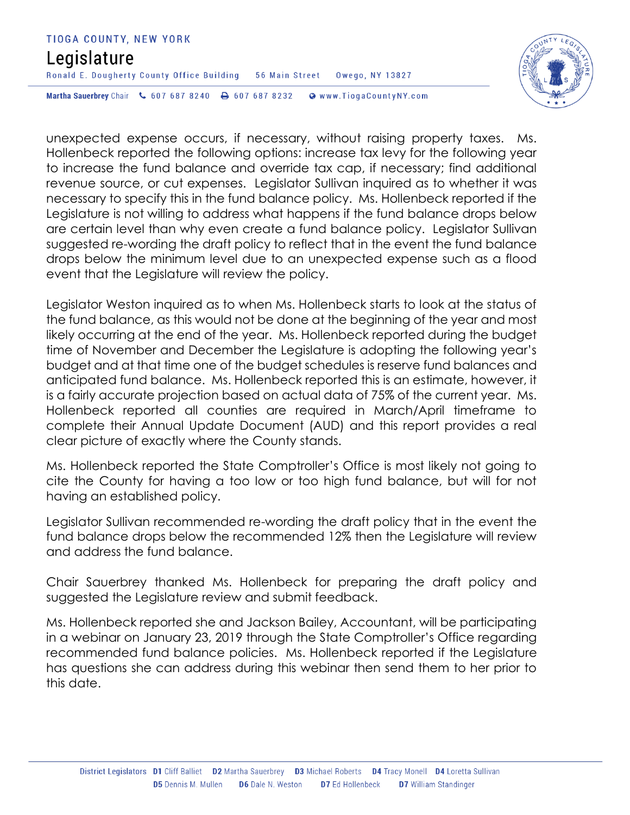#### TIOGA COUNTY, NEW YORK

### Legislature

Ronald E. Dougherty County Office Building 56 Main Street Owego, NY 13827

Martha Sauerbrey Chair & 607 687 8240 <a>B<br/>607 687 8232 <a>B</a>Www.TiogaCountyNY.com

unexpected expense occurs, if necessary, without raising property taxes. Ms. Hollenbeck reported the following options: increase tax levy for the following year to increase the fund balance and override tax cap, if necessary; find additional revenue source, or cut expenses. Legislator Sullivan inquired as to whether it was necessary to specify this in the fund balance policy. Ms. Hollenbeck reported if the Legislature is not willing to address what happens if the fund balance drops below are certain level than why even create a fund balance policy. Legislator Sullivan suggested re-wording the draft policy to reflect that in the event the fund balance drops below the minimum level due to an unexpected expense such as a flood event that the Legislature will review the policy.

Legislator Weston inquired as to when Ms. Hollenbeck starts to look at the status of the fund balance, as this would not be done at the beginning of the year and most likely occurring at the end of the year. Ms. Hollenbeck reported during the budget time of November and December the Legislature is adopting the following year's budget and at that time one of the budget schedules is reserve fund balances and anticipated fund balance. Ms. Hollenbeck reported this is an estimate, however, it is a fairly accurate projection based on actual data of 75% of the current year. Ms. Hollenbeck reported all counties are required in March/April timeframe to complete their Annual Update Document (AUD) and this report provides a real clear picture of exactly where the County stands.

Ms. Hollenbeck reported the State Comptroller's Office is most likely not going to cite the County for having a too low or too high fund balance, but will for not having an established policy.

Legislator Sullivan recommended re-wording the draft policy that in the event the fund balance drops below the recommended 12% then the Legislature will review and address the fund balance.

Chair Sauerbrey thanked Ms. Hollenbeck for preparing the draft policy and suggested the Legislature review and submit feedback.

Ms. Hollenbeck reported she and Jackson Bailey, Accountant, will be participating in a webinar on January 23, 2019 through the State Comptroller's Office regarding recommended fund balance policies. Ms. Hollenbeck reported if the Legislature has questions she can address during this webinar then send them to her prior to this date.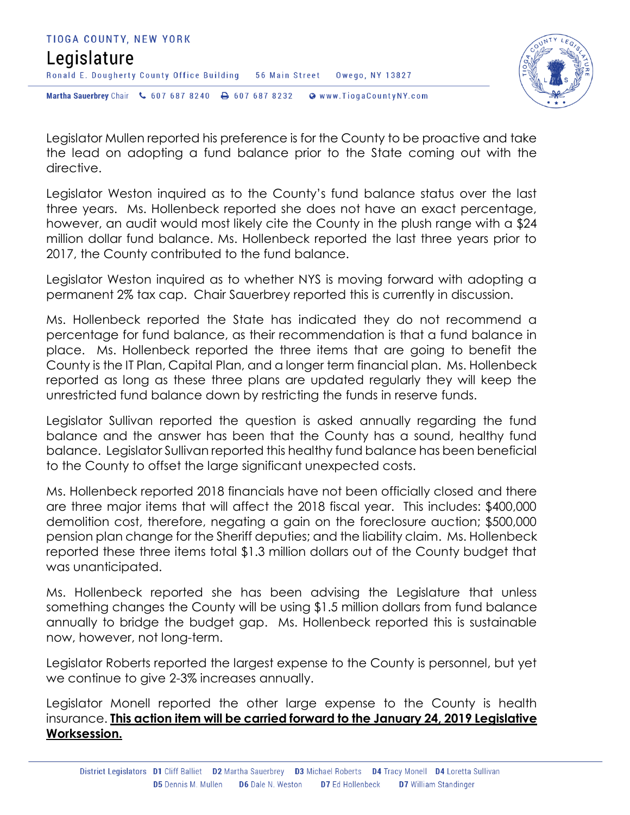



Legislator Mullen reported his preference is for the County to be proactive and take the lead on adopting a fund balance prior to the State coming out with the directive.

Legislator Weston inquired as to the County's fund balance status over the last three years. Ms. Hollenbeck reported she does not have an exact percentage, however, an audit would most likely cite the County in the plush range with a \$24 million dollar fund balance. Ms. Hollenbeck reported the last three years prior to 2017, the County contributed to the fund balance.

Legislator Weston inquired as to whether NYS is moving forward with adopting a permanent 2% tax cap. Chair Sauerbrey reported this is currently in discussion.

Ms. Hollenbeck reported the State has indicated they do not recommend a percentage for fund balance, as their recommendation is that a fund balance in place. Ms. Hollenbeck reported the three items that are going to benefit the County is the IT Plan, Capital Plan, and a longer term financial plan. Ms. Hollenbeck reported as long as these three plans are updated regularly they will keep the unrestricted fund balance down by restricting the funds in reserve funds.

Legislator Sullivan reported the question is asked annually regarding the fund balance and the answer has been that the County has a sound, healthy fund balance. Legislator Sullivan reported this healthy fund balance has been beneficial to the County to offset the large significant unexpected costs.

Ms. Hollenbeck reported 2018 financials have not been officially closed and there are three major items that will affect the 2018 fiscal year. This includes: \$400,000 demolition cost, therefore, negating a gain on the foreclosure auction; \$500,000 pension plan change for the Sheriff deputies; and the liability claim. Ms. Hollenbeck reported these three items total \$1.3 million dollars out of the County budget that was unanticipated.

Ms. Hollenbeck reported she has been advising the Legislature that unless something changes the County will be using \$1.5 million dollars from fund balance annually to bridge the budget gap. Ms. Hollenbeck reported this is sustainable now, however, not long-term.

Legislator Roberts reported the largest expense to the County is personnel, but yet we continue to give 2-3% increases annually.

Legislator Monell reported the other large expense to the County is health insurance. **This action item will be carried forward to the January 24, 2019 Legislative Worksession.**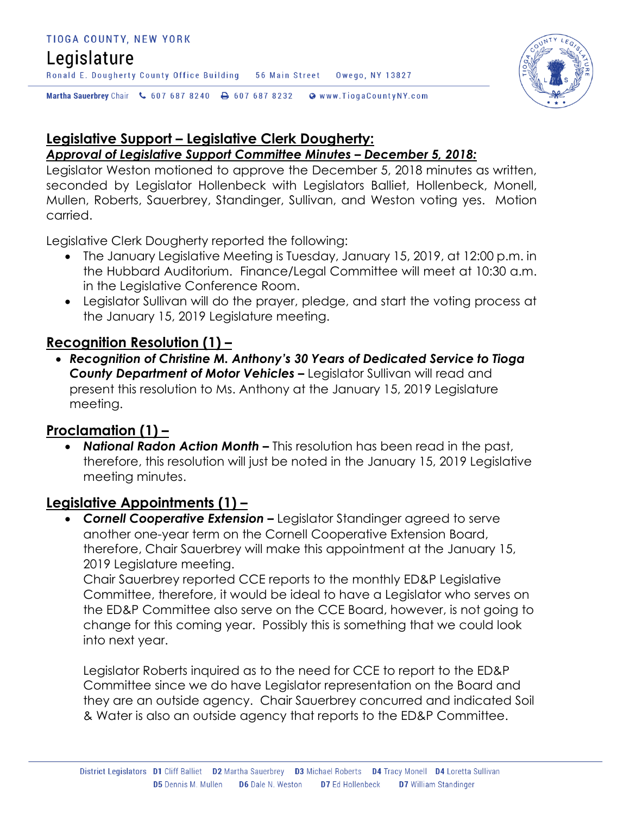### Legislature

Ronald E. Dougherty County Office Building 56 Main Street Owego, NY 13827

Martha Sauerbrey Chair & 607 687 8240 <a>B<br/>607 687 8232 <a>B</a>Www.TiogaCountyNY.com

## **Legislative Support – Legislative Clerk Dougherty:**

#### *Approval of Legislative Support Committee Minutes – December 5, 2018:*

Legislator Weston motioned to approve the December 5, 2018 minutes as written, seconded by Legislator Hollenbeck with Legislators Balliet, Hollenbeck, Monell, Mullen, Roberts, Sauerbrey, Standinger, Sullivan, and Weston voting yes. Motion carried.

Legislative Clerk Dougherty reported the following:

- The January Legislative Meeting is Tuesday, January 15, 2019, at 12:00 p.m. in the Hubbard Auditorium. Finance/Legal Committee will meet at 10:30 a.m. in the Legislative Conference Room.
- Legislator Sullivan will do the prayer, pledge, and start the voting process at the January 15, 2019 Legislature meeting.

### **Recognition Resolution (1) –**

 *Recognition of Christine M. Anthony's 30 Years of Dedicated Service to Tioga County Department of Motor Vehicles –* Legislator Sullivan will read and present this resolution to Ms. Anthony at the January 15, 2019 Legislature meeting.

### **Proclamation (1) –**

 *National Radon Action Month –* This resolution has been read in the past, therefore, this resolution will just be noted in the January 15, 2019 Legislative meeting minutes.

### **Legislative Appointments (1) –**

**Cornell Cooperative Extension –** Legislator Standinger agreed to serve another one-year term on the Cornell Cooperative Extension Board, therefore, Chair Sauerbrey will make this appointment at the January 15, 2019 Legislature meeting.

Chair Sauerbrey reported CCE reports to the monthly ED&P Legislative Committee, therefore, it would be ideal to have a Legislator who serves on the ED&P Committee also serve on the CCE Board, however, is not going to change for this coming year. Possibly this is something that we could look into next year.

Legislator Roberts inquired as to the need for CCE to report to the ED&P Committee since we do have Legislator representation on the Board and they are an outside agency. Chair Sauerbrey concurred and indicated Soil & Water is also an outside agency that reports to the ED&P Committee.

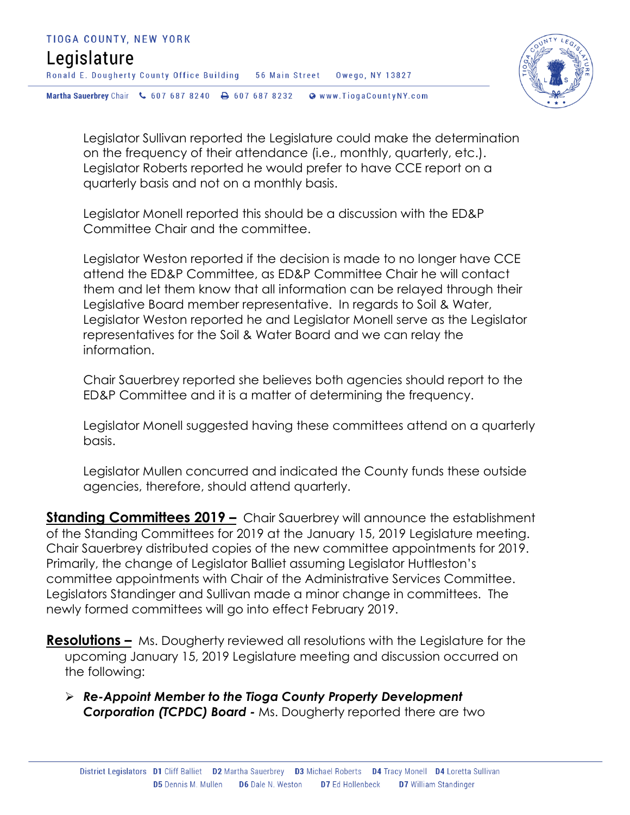

Legislator Sullivan reported the Legislature could make the determination on the frequency of their attendance (i.e., monthly, quarterly, etc.). Legislator Roberts reported he would prefer to have CCE report on a quarterly basis and not on a monthly basis.

Legislator Monell reported this should be a discussion with the ED&P Committee Chair and the committee.

Legislator Weston reported if the decision is made to no longer have CCE attend the ED&P Committee, as ED&P Committee Chair he will contact them and let them know that all information can be relayed through their Legislative Board member representative. In regards to Soil & Water, Legislator Weston reported he and Legislator Monell serve as the Legislator representatives for the Soil & Water Board and we can relay the information.

Chair Sauerbrey reported she believes both agencies should report to the ED&P Committee and it is a matter of determining the frequency.

Legislator Monell suggested having these committees attend on a quarterly basis.

Legislator Mullen concurred and indicated the County funds these outside agencies, therefore, should attend quarterly.

**Standing Committees 2019 –** Chair Sauerbrey will announce the establishment of the Standing Committees for 2019 at the January 15, 2019 Legislature meeting. Chair Sauerbrey distributed copies of the new committee appointments for 2019. Primarily, the change of Legislator Balliet assuming Legislator Huttleston's committee appointments with Chair of the Administrative Services Committee. Legislators Standinger and Sullivan made a minor change in committees. The newly formed committees will go into effect February 2019.

**Resolutions –** Ms. Dougherty reviewed all resolutions with the Legislature for the upcoming January 15, 2019 Legislature meeting and discussion occurred on the following:

 *Re-Appoint Member to the Tioga County Property Development Corporation (TCPDC) Board -* Ms. Dougherty reported there are two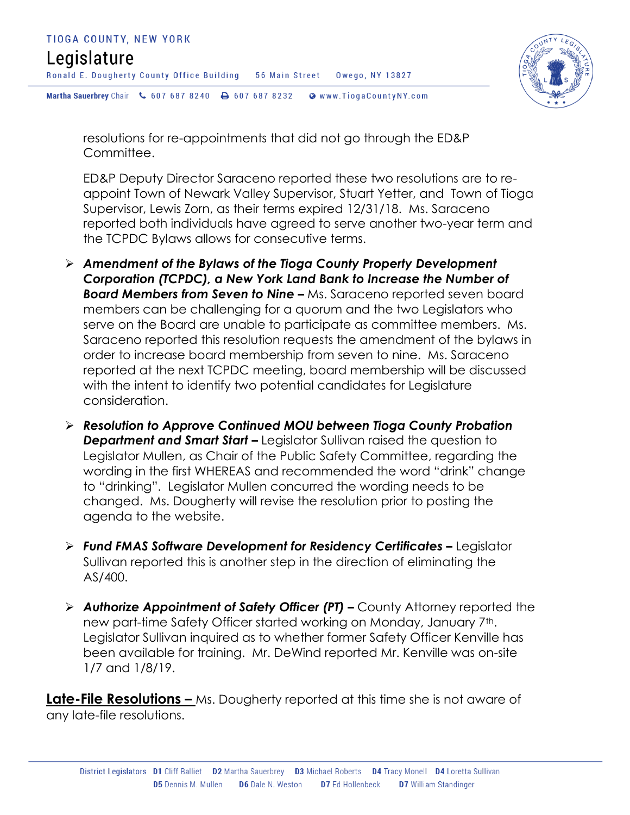



resolutions for re-appointments that did not go through the ED&P Committee.

ED&P Deputy Director Saraceno reported these two resolutions are to reappoint Town of Newark Valley Supervisor, Stuart Yetter, and Town of Tioga Supervisor, Lewis Zorn, as their terms expired 12/31/18. Ms. Saraceno reported both individuals have agreed to serve another two-year term and the TCPDC Bylaws allows for consecutive terms.

- *Amendment of the Bylaws of the Tioga County Property Development Corporation (TCPDC), a New York Land Bank to Increase the Number of*  **Board Members from Seven to Nine –** Ms. Saraceno reported seven board members can be challenging for a quorum and the two Legislators who serve on the Board are unable to participate as committee members. Ms. Saraceno reported this resolution requests the amendment of the bylaws in order to increase board membership from seven to nine. Ms. Saraceno reported at the next TCPDC meeting, board membership will be discussed with the intent to identify two potential candidates for Legislature consideration.
- *Resolution to Approve Continued MOU between Tioga County Probation*  **Department and Smart Start –** Legislator Sullivan raised the question to Legislator Mullen, as Chair of the Public Safety Committee, regarding the wording in the first WHEREAS and recommended the word "drink" change to "drinking". Legislator Mullen concurred the wording needs to be changed. Ms. Dougherty will revise the resolution prior to posting the agenda to the website.
- **Fund FMAS Software Development for Residency Certificates Legislator** Sullivan reported this is another step in the direction of eliminating the AS/400.
- *Authorize Appointment of Safety Officer (PT) –* County Attorney reported the new part-time Safety Officer started working on Monday, January 7<sup>th</sup>. Legislator Sullivan inquired as to whether former Safety Officer Kenville has been available for training. Mr. DeWind reported Mr. Kenville was on-site 1/7 and 1/8/19.

**Late-File Resolutions –** Ms. Dougherty reported at this time she is not aware of any late-file resolutions.